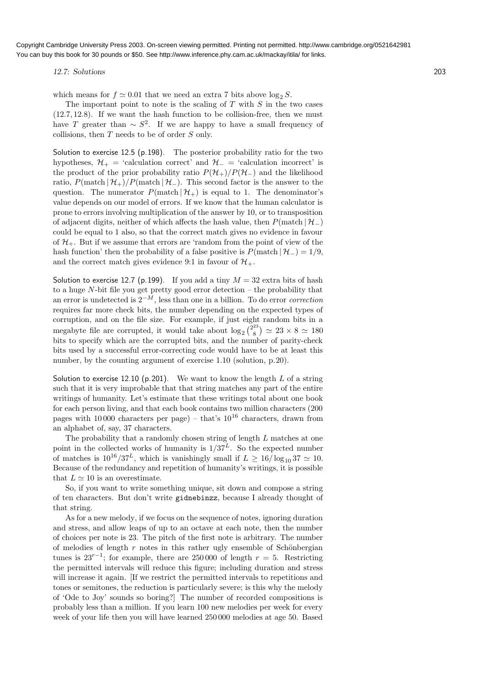12.7: Solutions 203

which means for  $f \approx 0.01$  that we need an extra 7 bits above log<sub>2</sub> S.

The important point to note is the scaling of  $T$  with  $S$  in the two cases (12.7, 12.8). If we want the hash function to be collision-free, then we must have T greater than  $\sim S^2$ . If we are happy to have a small frequency of collisions, then  $T$  needs to be of order  $S$  only.

Solution to exercise 12.5 (p.198). The posterior probability ratio for the two hypotheses,  $\mathcal{H}_{+}$  = 'calculation correct' and  $\mathcal{H}_{-}$  = 'calculation incorrect' is the product of the prior probability ratio  $P(\mathcal{H}_+)/P(\mathcal{H}_-)$  and the likelihood ratio,  $P(\text{match} | \mathcal{H}_+)/P(\text{match} | \mathcal{H}_-)$ . This second factor is the answer to the question. The numerator  $P(\text{match} | \mathcal{H}_+)$  is equal to 1. The denominator's value depends on our model of errors. If we know that the human calculator is prone to errors involving multiplication of the answer by 10, or to transposition of adjacent digits, neither of which affects the hash value, then  $P(\text{match} | \mathcal{H}_-)$ could be equal to 1 also, so that the correct match gives no evidence in favour of  $\mathcal{H}_+$ . But if we assume that errors are 'random from the point of view of the hash function' then the probability of a false positive is  $P(\text{match} | \mathcal{H}_-) = 1/9$ , and the correct match gives evidence 9:1 in favour of  $\mathcal{H}_{+}$ .

Solution to exercise 12.7 (p.199). If you add a tiny  $M = 32$  extra bits of hash to a huge  $N$ -bit file you get pretty good error detection  $-$  the probability that an error is undetected is  $2^{-M}$ , less than one in a billion. To do error *correction* requires far more check bits, the number depending on the expected types of corruption, and on the file size. For example, if just eight random bits in a megabyte file are corrupted, it would take about  $\log_2$   $\binom{2^{23}}{8}$  $\binom{25}{8}$   $\simeq$  23  $\times$  8  $\simeq$  180 bits to specify which are the corrupted bits, and the number of parity-check bits used by a successful error-correcting code would have to be at least this number, by the counting argument of exercise 1.10 (solution, p.20).

Solution to exercise 12.10 (p.201). We want to know the length  $L$  of a string such that it is very improbable that that string matches any part of the entire writings of humanity. Let's estimate that these writings total about one book for each person living, and that each book contains two million characters (200 pages with 10,000 characters per page) – that's  $10^{16}$  characters, drawn from an alphabet of, say, 37 characters.

The probability that a randomly chosen string of length L matches at one point in the collected works of humanity is  $1/37^L$ . So the expected number of matches is  $10^{16}/37^L$ , which is vanishingly small if  $L \ge 16/\log_{10} 37 \simeq 10$ . Because of the redundancy and repetition of humanity's writings, it is possible that  $L \simeq 10$  is an overestimate.

So, if you want to write something unique, sit down and compose a string of ten characters. But don't write gidnebinzz, because I already thought of that string.

As for a new melody, if we focus on the sequence of notes, ignoring duration and stress, and allow leaps of up to an octave at each note, then the number of choices per note is 23. The pitch of the first note is arbitrary. The number of melodies of length  $r$  notes in this rather ugly ensemble of Schönbergian tunes is  $23^{r-1}$ ; for example, there are 250 000 of length  $r = 5$ . Restricting the permitted intervals will reduce this figure; including duration and stress will increase it again. If we restrict the permitted intervals to repetitions and tones or semitones, the reduction is particularly severe; is this why the melody of 'Ode to Joy' sounds so boring?] The number of recorded compositions is probably less than a million. If you learn 100 new melodies per week for every week of your life then you will have learned 250 000 melodies at age 50. Based